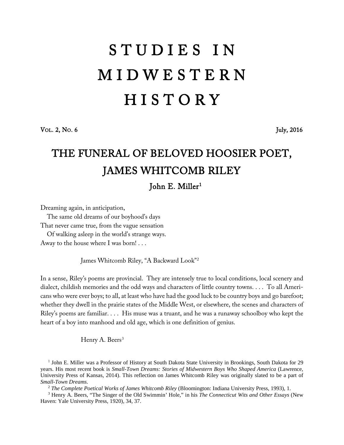## S T U D I E S I N M I D W E S T E R N **HISTORY**

VOL. 2, NO. 6 July, 2016

## THE FUNERAL OF BELOVED HOOSIER POET, JAMES WHITCOMB RILEY John E. Miller<sup>[1](#page-0-0)</sup>

Dreaming again, in anticipation,

The same old dreams of our boyhood's days

That never came true, from the vague sensation

Of walking asleep in the world's strange ways.

Away to the house where I was born! . . .

James Whitcomb Riley, "A Backward Look"[2](#page-0-1)

In a sense, Riley's poems are provincial. They are intensely true to local conditions, local scenery and dialect, childish memories and the odd ways and characters of little country towns. . . . To all Americans who were ever boys; to all, at least who have had the good luck to be country boys and go barefoot; whether they dwell in the prairie states of the Middle West, or elsewhere, the scenes and characters of Riley's poems are familiar. . . . His muse was a truant, and he was a runaway schoolboy who kept the heart of a boy into manhood and old age, which is one definition of genius.

Henry A. Beers<sup>[3](#page-0-2)</sup>

<span id="page-0-0"></span><sup>1</sup> John E. Miller was a Professor of History at South Dakota State University in Brookings, South Dakota for 29 years. His most recent book is *Small-Town Dreams: Stories of Midwestern Boys Who Shaped America* (Lawrence, University Press of Kansas, 2014). This reflection on James Whitcomb Riley was originally slated to be a part of *Small-Town Dreams*. 2 *The Complete Poetical Works of James Whitcomb Riley* (Bloomington: Indiana University Press, 1993), 1.

<span id="page-0-2"></span><span id="page-0-1"></span><sup>3</sup> Henry A. Beers, "The Singer of the Old Swimmin' Hole," in his *The Connecticut Wits and Other Essays* (New Haven: Yale University Press, 1920), 34, 37.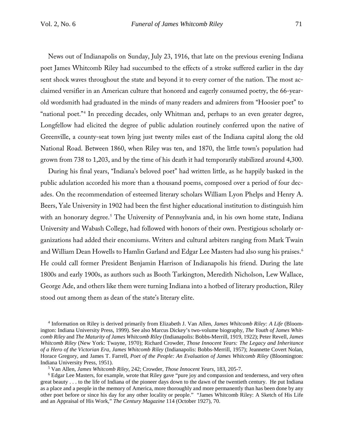News out of Indianapolis on Sunday, July 23, 1916, that late on the previous evening Indiana poet James Whitcomb Riley had succumbed to the effects of a stroke suffered earlier in the day sent shock waves throughout the state and beyond it to every corner of the nation. The most acclaimed versifier in an American culture that honored and eagerly consumed poetry, the 66-yearold wordsmith had graduated in the minds of many readers and admirers from "Hoosier poet" to "national poet."<sup>[4](#page-1-0)</sup> In preceding decades, only Whitman and, perhaps to an even greater degree, Longfellow had elicited the degree of public adulation routinely conferred upon the native of Greenville, a county-seat town lying just twenty miles east of the Indiana capital along the old National Road. Between 1860, when Riley was ten, and 1870, the little town's population had grown from 738 to 1,203, and by the time of his death it had temporarily stabilized around 4,300.

During his final years, "Indiana's beloved poet" had written little, as he happily basked in the public adulation accorded his more than a thousand poems, composed over a period of four decades. On the recommendation of esteemed literary scholars William Lyon Phelps and Henry A. Beers, Yale University in 1902 had been the first higher educational institution to distinguish him with an honorary degree.<sup>[5](#page-1-1)</sup> The University of Pennsylvania and, in his own home state, Indiana University and Wabash College, had followed with honors of their own. Prestigious scholarly organizations had added their encomiums. Writers and cultural arbiters ranging from Mark Twain and William Dean Howells to Hamlin Garland and Edgar Lee Masters had also sung his praises.<sup>[6](#page-1-2)</sup> He could call former President Benjamin Harrison of Indianapolis his friend. During the late 1800s and early 1900s, as authors such as Booth Tarkington, Meredith Nicholson, Lew Wallace, George Ade, and others like them were turning Indiana into a hotbed of literary production, Riley stood out among them as dean of the state's literary elite.

<span id="page-1-0"></span><sup>4</sup> Information on Riley is derived primarily from Elizabeth J. Van Allen, *James Whitcomb Riley: A Life* (Bloomington: Indiana University Press, 1999). See also Marcus Dickey's two-volume biography, *The Youth of James Whitcomb Riley* and *The Maturity of James Whitcomb Riley* (Indianapolis: Bobbs-Merrill, 1919, 1922); Peter Revell, *James Whitcomb Riley* (New York: Twayne, 1970); Richard Crowder, *Those Innocent Years: The Legacy and Inheritance of a Hero of the Victorian Era, James Whitcomb Riley* (Indianapolis: Bobbs-Merrill, 1957); Jeannette Covert Nolan, Horace Gregory, and James T. Farrell, *Poet of the People: An Evaluation of James Whitcomb Riley* (Bloomington: Indiana University Press, 1951).<br><sup>5</sup> Van Allen, *James Whitcomb Riley*, 242; Crowder, *Those Innocent Years*, 183, 205-7.<br><sup>6</sup> Edgar Lee Masters, for example, wrote that Riley gave "pure joy and compassion and tenderness, a

<span id="page-1-2"></span><span id="page-1-1"></span>great beauty . . . to the life of Indiana of the pioneer days down to the dawn of the twentieth century. He put Indiana as a place and a people in the memory of America, more thoroughly and more permanently than has been done by any other poet before or since his day for any other locality or people." "James Whitcomb Riley: A Sketch of His Life and an Appraisal of His Work," *The Century Magazine* 114 (October 1927), 70.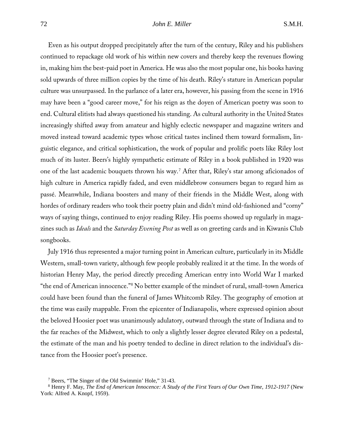Even as his output dropped precipitately after the turn of the century, Riley and his publishers continued to repackage old work of his within new covers and thereby keep the revenues flowing in, making him the best-paid poet in America. He was also the most popular one, his books having sold upwards of three million copies by the time of his death. Riley's stature in American popular culture was unsurpassed. In the parlance of a later era, however, his passing from the scene in 1916 may have been a "good career move," for his reign as the doyen of American poetry was soon to end. Cultural elitists had always questioned his standing. As cultural authority in the United States increasingly shifted away from amateur and highly eclectic newspaper and magazine writers and moved instead toward academic types whose critical tastes inclined them toward formalism, linguistic elegance, and critical sophistication, the work of popular and prolific poets like Riley lost much of its luster. Beers's highly sympathetic estimate of Riley in a book published in 1920 was one of the last academic bouquets thrown his way.[7](#page-2-0) After that, Riley's star among aficionados of high culture in America rapidly faded, and even middlebrow consumers began to regard him as passé. Meanwhile, Indiana boosters and many of their friends in the Middle West, along with hordes of ordinary readers who took their poetry plain and didn't mind old-fashioned and "corny" ways of saying things, continued to enjoy reading Riley. His poems showed up regularly in magazines such as *Ideals* and the *Saturday Evening Post* as well as on greeting cards and in Kiwanis Club songbooks.

July 1916 thus represented a major turning point in American culture, particularly in its Middle Western, small-town variety, although few people probably realized it at the time. In the words of historian Henry May, the period directly preceding American entry into World War I marked "the end of American innocence."[8](#page-2-1) No better example of the mindset of rural, small-town America could have been found than the funeral of James Whitcomb Riley. The geography of emotion at the time was easily mappable. From the epicenter of Indianapolis, where expressed opinion about the beloved Hoosier poet was unanimously adulatory, outward through the state of Indiana and to the far reaches of the Midwest, which to only a slightly lesser degree elevated Riley on a pedestal, the estimate of the man and his poetry tended to decline in direct relation to the individual's distance from the Hoosier poet's presence.

<sup>7</sup> Beers, "The Singer of the Old Swimmin' Hole," 31-43.

<span id="page-2-1"></span><span id="page-2-0"></span><sup>8</sup> Henry F. May, *The End of American Innocence: A Study of the First Years of Our Own Time, 1912-1917* (New York: Alfred A. Knopf, 1959).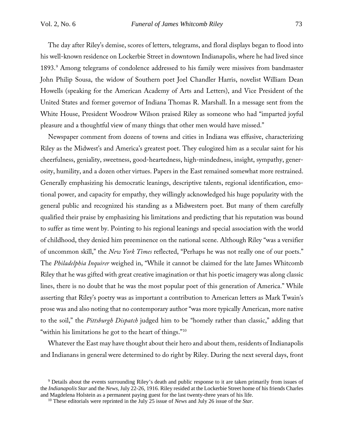The day after Riley's demise, scores of letters, telegrams, and floral displays began to flood into his well-known residence on Lockerbie Street in downtown Indianapolis, where he had lived since 1893.[9](#page-3-0) Among telegrams of condolence addressed to his family were missives from bandmaster John Philip Sousa, the widow of Southern poet Joel Chandler Harris, novelist William Dean Howells (speaking for the American Academy of Arts and Letters), and Vice President of the United States and former governor of Indiana Thomas R. Marshall. In a message sent from the White House, President Woodrow Wilson praised Riley as someone who had "imparted joyful pleasure and a thoughtful view of many things that other men would have missed."

Newspaper comment from dozens of towns and cities in Indiana was effusive, characterizing Riley as the Midwest's and America's greatest poet. They eulogized him as a secular saint for his cheerfulness, geniality, sweetness, good-heartedness, high-mindedness, insight, sympathy, generosity, humility, and a dozen other virtues. Papers in the East remained somewhat more restrained. Generally emphasizing his democratic leanings, descriptive talents, regional identification, emotional power, and capacity for empathy, they willingly acknowledged his huge popularity with the general public and recognized his standing as a Midwestern poet. But many of them carefully qualified their praise by emphasizing his limitations and predicting that his reputation was bound to suffer as time went by. Pointing to his regional leanings and special association with the world of childhood, they denied him preeminence on the national scene. Although Riley "was a versifier of uncommon skill," the *New York Times* reflected, "Perhaps he was not really one of our poets." The *Philadelphia Inquirer* weighed in, "While it cannot be claimed for the late James Whitcomb Riley that he was gifted with great creative imagination or that his poetic imagery was along classic lines, there is no doubt that he was the most popular poet of this generation of America." While asserting that Riley's poetry was as important a contribution to American letters as Mark Twain's prose was and also noting that no contemporary author "was more typically American, more native to the soil," the *Pittsburgh Dispatch* judged him to be "homely rather than classic," adding that "within his limitations he got to the heart of things."[10](#page-3-1)

Whatever the East may have thought about their hero and about them, residents of Indianapolis and Indianans in general were determined to do right by Riley. During the next several days, front

<span id="page-3-1"></span><span id="page-3-0"></span><sup>&</sup>lt;sup>9</sup> Details about the events surrounding Riley's death and public response to it are taken primarily from issues of the *Indianapolis Star* and the *News*, July 22-26, 1916. Riley resided at the Lockerbie Street home of his friends Charles and Magdelena Holstein as a permanent paying guest for the last twenty-three years of his life.

<sup>10</sup> These editorials were reprinted in the July 25 issue of *News* and July 26 issue of the *Star*.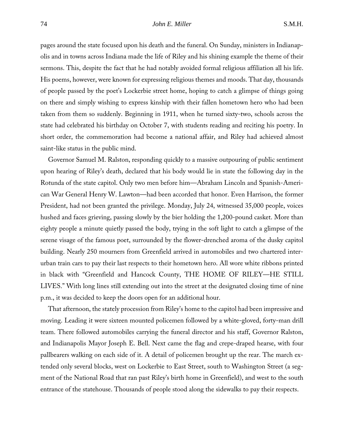pages around the state focused upon his death and the funeral. On Sunday, ministers in Indianapolis and in towns across Indiana made the life of Riley and his shining example the theme of their sermons. This, despite the fact that he had notably avoided formal religious affiliation all his life. His poems, however, were known for expressing religious themes and moods. That day, thousands of people passed by the poet's Lockerbie street home, hoping to catch a glimpse of things going on there and simply wishing to express kinship with their fallen hometown hero who had been taken from them so suddenly. Beginning in 1911, when he turned sixty-two, schools across the state had celebrated his birthday on October 7, with students reading and reciting his poetry. In short order, the commemoration had become a national affair, and Riley had achieved almost saint-like status in the public mind.

Governor Samuel M. Ralston, responding quickly to a massive outpouring of public sentiment upon hearing of Riley's death, declared that his body would lie in state the following day in the Rotunda of the state capitol. Only two men before him—Abraham Lincoln and Spanish-American War General Henry W. Lawton—had been accorded that honor. Even Harrison, the former President, had not been granted the privilege. Monday, July 24, witnessed 35,000 people, voices hushed and faces grieving, passing slowly by the bier holding the 1,200-pound casket. More than eighty people a minute quietly passed the body, trying in the soft light to catch a glimpse of the serene visage of the famous poet, surrounded by the flower-drenched aroma of the dusky capitol building. Nearly 250 mourners from Greenfield arrived in automobiles and two chartered interurban train cars to pay their last respects to their hometown hero. All wore white ribbons printed in black with "Greenfield and Hancock County, THE HOME OF RILEY—HE STILL LIVES." With long lines still extending out into the street at the designated closing time of nine p.m., it was decided to keep the doors open for an additional hour.

That afternoon, the stately procession from Riley's home to the capitol had been impressive and moving. Leading it were sixteen mounted policemen followed by a white-gloved, forty-man drill team. There followed automobiles carrying the funeral director and his staff, Governor Ralston, and Indianapolis Mayor Joseph E. Bell. Next came the flag and crepe-draped hearse, with four pallbearers walking on each side of it. A detail of policemen brought up the rear. The march extended only several blocks, west on Lockerbie to East Street, south to Washington Street (a segment of the National Road that ran past Riley's birth home in Greenfield), and west to the south entrance of the statehouse. Thousands of people stood along the sidewalks to pay their respects.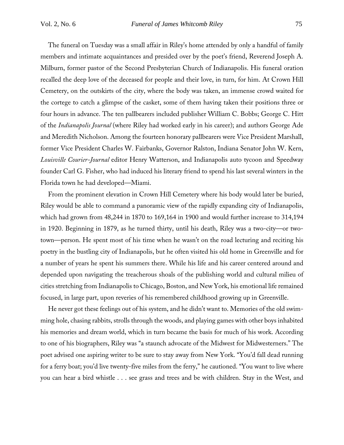The funeral on Tuesday was a small affair in Riley's home attended by only a handful of family members and intimate acquaintances and presided over by the poet's friend, Reverend Joseph A. Milburn, former pastor of the Second Presbyterian Church of Indianapolis. His funeral oration recalled the deep love of the deceased for people and their love, in turn, for him. At Crown Hill Cemetery, on the outskirts of the city, where the body was taken, an immense crowd waited for the cortege to catch a glimpse of the casket, some of them having taken their positions three or four hours in advance. The ten pallbearers included publisher William C. Bobbs; George C. Hitt of the *Indianapolis Journal* (where Riley had worked early in his career); and authors George Ade and Meredith Nicholson. Among the fourteen honorary pallbearers were Vice President Marshall, former Vice President Charles W. Fairbanks, Governor Ralston, Indiana Senator John W. Kern, *Louisville Courier-Journal* editor Henry Watterson, and Indianapolis auto tycoon and Speedway founder Carl G. Fisher, who had induced his literary friend to spend his last several winters in the Florida town he had developed—Miami.

From the prominent elevation in Crown Hill Cemetery where his body would later be buried, Riley would be able to command a panoramic view of the rapidly expanding city of Indianapolis, which had grown from 48,244 in 1870 to 169,164 in 1900 and would further increase to 314,194 in 1920. Beginning in 1879, as he turned thirty, until his death, Riley was a two-city—or twotown—person. He spent most of his time when he wasn't on the road lecturing and reciting his poetry in the bustling city of Indianapolis, but he often visited his old home in Greenville and for a number of years he spent his summers there. While his life and his career centered around and depended upon navigating the treacherous shoals of the publishing world and cultural milieu of cities stretching from Indianapolis to Chicago, Boston, and New York, his emotional life remained focused, in large part, upon reveries of his remembered childhood growing up in Greenville.

He never got these feelings out of his system, and he didn't want to. Memories of the old swimming hole, chasing rabbits, strolls through the woods, and playing games with other boys inhabited his memories and dream world, which in turn became the basis for much of his work. According to one of his biographers, Riley was "a staunch advocate of the Midwest for Midwesterners." The poet advised one aspiring writer to be sure to stay away from New York. "You'd fall dead running for a ferry boat; you'd live twenty-five miles from the ferry," he cautioned. "You want to live where you can hear a bird whistle . . . see grass and trees and be with children. Stay in the West, and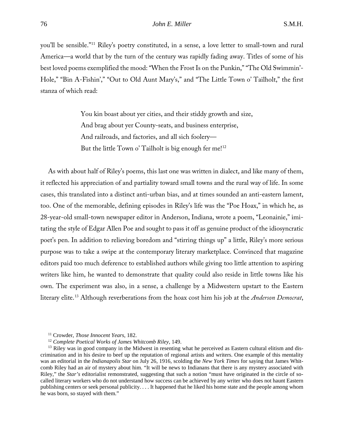you'll be sensible."[11](#page-6-0) Riley's poetry constituted, in a sense, a love letter to small-town and rural America—a world that by the turn of the century was rapidly fading away. Titles of some of his best loved poems exemplified the mood: "When the Frost Is on the Punkin," "The Old Swimmin'- Hole," "Bin A-Fishin'," "Out to Old Aunt Mary's," and "The Little Town o' Tailholt," the first stanza of which read:

> You kin boast about yer cities, and their stiddy growth and size, And brag about yer County-seats, and business enterprise, And railroads, and factories, and all sich foolery— But the little Town o' Tailholt is big enough fer me!<sup>[12](#page-6-1)</sup>

As with about half of Riley's poems, this last one was written in dialect, and like many of them, it reflected his appreciation of and partiality toward small towns and the rural way of life. In some cases, this translated into a distinct anti-urban bias, and at times sounded an anti-eastern lament, too. One of the memorable, defining episodes in Riley's life was the "Poe Hoax," in which he, as 28-year-old small-town newspaper editor in Anderson, Indiana, wrote a poem, "Leonainie," imitating the style of Edgar Allen Poe and sought to pass it off as genuine product of the idiosyncratic poet's pen. In addition to relieving boredom and "stirring things up" a little, Riley's more serious purpose was to take a swipe at the contemporary literary marketplace. Convinced that magazine editors paid too much deference to established authors while giving too little attention to aspiring writers like him, he wanted to demonstrate that quality could also reside in little towns like his own. The experiment was also, in a sense, a challenge by a Midwestern upstart to the Eastern literary elite.[13](#page-6-2) Although reverberations from the hoax cost him his job at the *Anderson Democrat*,

<sup>11</sup> Crowder, *Those Innocent Years*, 182.

<sup>12</sup> *Complete Poetical Works of James Whitcomb Riley*, 149.

<span id="page-6-2"></span><span id="page-6-1"></span><span id="page-6-0"></span><sup>&</sup>lt;sup>13</sup> Riley was in good company in the Midwest in resenting what he perceived as Eastern cultural elitism and discrimination and in his desire to beef up the reputation of regional artists and writers. One example of this mentality was an editorial in the *Indianapolis Star* on July 26, 1916, scolding the *New York Times* for saying that James Whitcomb Riley had an air of mystery about him. "It will be news to Indianans that there is any mystery associated with Riley," the *Star's* editorialist remonstrated, suggesting that such a notion "must have originated in the circle of socalled literary workers who do not understand how success can be achieved by any writer who does not haunt Eastern publishing centers or seek personal publicity. . . . It happened that he liked his home state and the people among whom he was born, so stayed with them."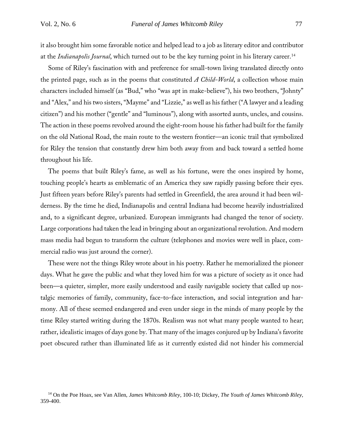it also brought him some favorable notice and helped lead to a job as literary editor and contributor at the *Indianapolis Journal*, which turned out to be the key turning point in his literary career.[14](#page-7-0)

Some of Riley's fascination with and preference for small-town living translated directly onto the printed page, such as in the poems that constituted *A Child-World*, a collection whose main characters included himself (as "Bud," who "was apt in make-believe"), his two brothers, "Johnty" and "Alex," and his two sisters, "Mayme" and "Lizzie," as well as his father ("A lawyer and a leading citizen") and his mother ("gentle" and "luminous"), along with assorted aunts, uncles, and cousins. The action in these poems revolved around the eight-room house his father had built for the family on the old National Road, the main route to the western frontier—an iconic trail that symbolized for Riley the tension that constantly drew him both away from and back toward a settled home throughout his life.

The poems that built Riley's fame, as well as his fortune, were the ones inspired by home, touching people's hearts as emblematic of an America they saw rapidly passing before their eyes. Just fifteen years before Riley's parents had settled in Greenfield, the area around it had been wilderness. By the time he died, Indianapolis and central Indiana had become heavily industrialized and, to a significant degree, urbanized. European immigrants had changed the tenor of society. Large corporations had taken the lead in bringing about an organizational revolution. And modern mass media had begun to transform the culture (telephones and movies were well in place, commercial radio was just around the corner).

These were not the things Riley wrote about in his poetry. Rather he memorialized the pioneer days. What he gave the public and what they loved him for was a picture of society as it once had been—a quieter, simpler, more easily understood and easily navigable society that called up nostalgic memories of family, community, face-to-face interaction, and social integration and harmony. All of these seemed endangered and even under siege in the minds of many people by the time Riley started writing during the 1870s. Realism was not what many people wanted to hear; rather, idealistic images of days gone by. That many of the images conjured up by Indiana's favorite poet obscured rather than illuminated life as it currently existed did not hinder his commercial

<span id="page-7-0"></span><sup>14</sup> On the Poe Hoax, see Van Allen, *James Whitcomb Riley*, 100-10; Dickey, *The Youth of James Whitcomb Riley*, 359-400.